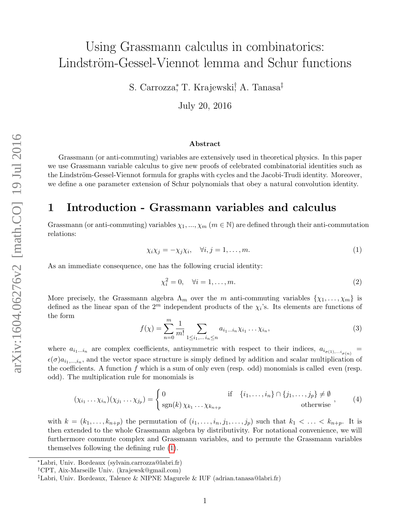# Using Grassmann calculus in combinatorics: Lindström-Gessel-Viennot lemma and Schur functions

S. Carrozza\*, T. Krajewski<sup>†</sup> A. Tanasa<sup>‡</sup>

July 20, 2016

#### Abstract

Grassmann (or anti-commuting) variables are extensively used in theoretical physics. In this paper we use Grassmann variable calculus to give new proofs of celebrated combinatorial identities such as the Lindström-Gessel-Viennot formula for graphs with cycles and the Jacobi-Trudi identity. Moreover, we define a one parameter extension of Schur polynomials that obey a natural convolution identity.

### 1 Introduction - Grassmann variables and calculus

Grassmann (or anti-commuting) variables  $\chi_1, ..., \chi_m$  ( $m \in \mathbb{N}$ ) are defined through their anti-commutation relations:

<span id="page-0-0"></span>
$$
\chi_i \chi_j = -\chi_j \chi_i, \quad \forall i, j = 1, \dots, m. \tag{1}
$$

As an immediate consequence, one has the following crucial identity:

<span id="page-0-1"></span>
$$
\chi_i^2 = 0, \quad \forall i = 1, \dots, m. \tag{2}
$$

More precisely, the Grassmann algebra  $\Lambda_m$  over the m anti-commuting variables  $\{\chi_1, \ldots, \chi_m\}$  is defined as the linear span of the  $2^m$  independent products of the  $\chi_i$ 's. Its elements are functions of the form

$$
f(\chi) = \sum_{n=0}^{m} \frac{1}{m!} \sum_{1 \le i_1, \dots, i_n \le n} a_{i_1 \dots i_n} \chi_{i_1} \dots \chi_{i_n},
$$
 (3)

where  $a_{i_1...i_n}$  are complex coefficients, antisymmetric with respect to their indices,  $a_{i_{\sigma(1),...i_{\sigma(n)}}}$ =  $\epsilon(\sigma)a_{i_1,\dots,i_n}$ , and the vector space structure is simply defined by addition and scalar multiplication of the coefficients. A function f which is a sum of only even (resp. odd) monomials is called even (resp. odd). The multiplication rule for monomials is

$$
(\chi_{i_1} \dots \chi_{i_n})(\chi_{j_1} \dots \chi_{j_p}) = \begin{cases} 0 & \text{if } \{i_1, \dots, i_n\} \cap \{j_1, \dots, j_p\} \neq \emptyset \\ \text{sgn}(k) \chi_{k_1} \dots \chi_{k_{n+p}} & \text{otherwise} \end{cases}
$$
 (4)

with  $k = (k_1, \ldots, k_{n+p})$  the permutation of  $(i_1, \ldots, i_n, j_1, \ldots, j_p)$  such that  $k_1 < \ldots < k_{n+p}$ . It is then extended to the whole Grassmann algebra by distributivity. For notational convenience, we will furthermore commute complex and Grassmann variables, and to permute the Grassmann variables themselves following the defining rule [\(1\)](#page-0-0).

<sup>∗</sup>Labri, Univ. Bordeaux (sylvain.carrozza@labri.fr)

<sup>†</sup>CPT, Aix-Marseille Univ. (krajewsk@gmail.com)

<sup>‡</sup>Labri, Univ. Bordeaux, Talence & NIPNE Magurele & IUF (adrian.tanasa@labri.fr)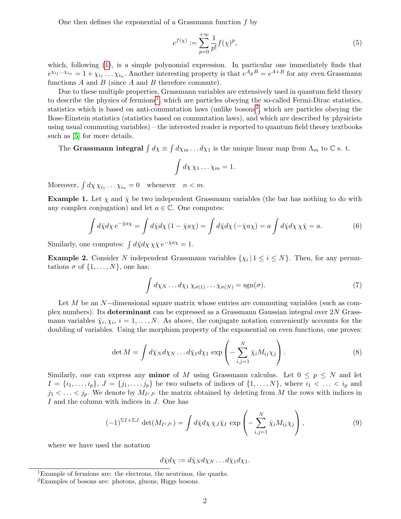One then defines the exponential of a Grassmann function  $f$  by

$$
e^{f(x)} := \sum_{p=0}^{+\infty} \frac{1}{p!} f(x)^p,
$$
 (5)

which, following [\(1\)](#page-0-0), is a simple polynomial expression. In particular one immediately finds that  $e^{\chi_{i_1}...\chi_{i_n}} = 1 + \chi_{i_1}...\chi_{i_n}$ . Another interesting property is that  $e^A e^B = e^{A+B}$  for any even Grassmann functions  $A$  and  $B$  (since  $A$  and  $B$  therefore commute).

Due to these multiple properties, Grassmann variables are extensively used in quantum field theory to describe the physics of fermions<sup>[1](#page-1-0)</sup>, which are particles obeying the so-called Fermi-Dirac statistics, statistics which is based on anti-commutation laws (unlike bosons<sup>[2](#page-1-1)</sup>, which are particles obeying the Bose-Einstein statistics (statistics based on commutation laws), and which are described by physicists using usual commuting variables) – the interested reader is reported to quantum field theory textbooks such as [\[5\]](#page-9-0) for more details.

The Grassmann integral  $\int d\chi \equiv \int d\chi_m \dots d\chi_1$  is the unique linear map from  $\Lambda_m$  to  $\mathbb C$  s. t.

$$
\int d\chi \, \chi_1 \ldots \chi_m = 1.
$$

Moreover,  $\int d\chi \chi_{i_1} \dots \chi_{i_n} = 0$  whenever  $n < m$ .

**Example 1.** Let  $\chi$  and  $\bar{\chi}$  be two independent Grassmann variables (the bar has nothing to do with any complex conjugation) and let  $a \in \mathbb{C}$ . One computes:

$$
\int d\bar{\chi} d\chi \, e^{-\bar{\chi} a\chi} = \int d\bar{\chi} d\chi \, (1 - \bar{\chi} a\chi) = \int d\bar{\chi} d\chi \, (-\bar{\chi} a\chi) = a \int d\bar{\chi} d\chi \, \chi \bar{\chi} = a. \tag{6}
$$

Similarly, one computes:  $\int d\bar{\chi} d\chi \chi \bar{\chi} e^{-\bar{\chi} a \chi} = 1$ .

**Example 2.** Consider N independent Grassmann variables  $\{\chi_i | 1 \leq i \leq N\}$ . Then, for any permutations  $\sigma$  of  $\{1, \ldots, N\}$ , one has:

<span id="page-1-3"></span>
$$
\int d\chi_N \dots d\chi_1 \chi_{\sigma(1)} \dots \chi_{\sigma(N)} = \text{sgn}(\sigma). \tag{7}
$$

Let M be an N−dimensional square matrix whose entries are commuting variables (such as complex numbers). Its determinant can be expressed as a Grassmann Gaussian integral over 2N Grassmann variables  $\bar{\chi}_i, \chi_i, i = 1, \ldots, N$ . As above, the conjugate notation conveniently accounts for the doubling of variables. Using the morphism property of the exponential on even functions, one proves:

<span id="page-1-2"></span>
$$
\det M = \int d\bar{\chi}_N d\chi_N \dots d\bar{\chi}_1 d\chi_1 \, \exp\left(-\sum_{i,j=1}^N \bar{\chi}_i M_{ij} \chi_j\right). \tag{8}
$$

Similarly, one can express any **minor** of M using Grassmann calculus. Let  $0 \leq p \leq N$  and let  $I = \{i_1, \ldots, i_p\}, J = \{j_1, \ldots, j_p\}$  be two subsets of indices of  $\{1, \ldots, N\},$  where  $i_1 < \ldots < i_p$  and  $j_1 < \ldots < j_p$ . We denote by  $M_{I^cJ^c}$  the matrix obtained by deleting from M the rows with indices in I and the column with indices in J. One has

<span id="page-1-4"></span>
$$
(-1)^{\Sigma I + \Sigma J} \det(M_{I^c J^c}) = \int d\bar{\chi} d\chi \, \chi_J \bar{\chi}_I \, \exp\left(-\sum_{i,j=1}^N \bar{\chi}_i M_{ij} \chi_j\right),\tag{9}
$$

where we have used the notation

$$
d\bar{\chi}d\chi := d\bar{\chi}_N d\chi_N \dots d\bar{\chi}_1 d\chi_1.
$$

<span id="page-1-0"></span><sup>&</sup>lt;sup>1</sup>Example of fermions are: the electrons, the neutrinos, the quarks.

<span id="page-1-1"></span><sup>2</sup>Examples of bosons are: photons, gluons, Higgs bosons.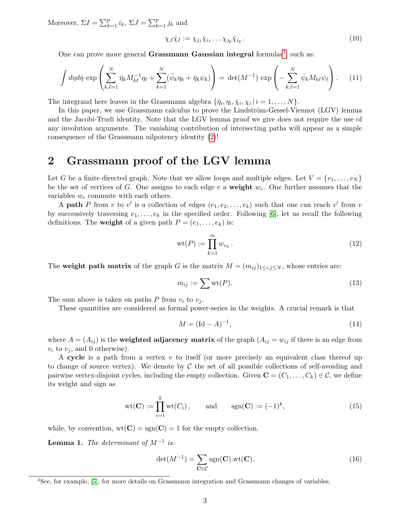Moreover,  $\Sigma I = \sum_{k=1}^{p} i_k$ ,  $\Sigma J = \sum_{k=1}^{p} j_k$  and

$$
\chi_J \bar{\chi}_I := \chi_{j_1} \bar{\chi}_{i_1} \dots \chi_{j_p} \bar{\chi}_{i_p} \,. \tag{10}
$$

One can prove more general Grassmann Gaussian integral formulas<sup>[3](#page-2-0)</sup>, such as:

<span id="page-2-2"></span>
$$
\int d\eta d\bar{\eta} \exp\left(\sum_{k,\ell=1}^N \bar{\eta}_k M_{k\ell}^{-1} \eta_\ell + \sum_{k=1}^N (\bar{\psi}_k \eta_k + \bar{\eta}_k \psi_k)\right) = \det(M^{-1}) \exp\left(-\sum_{k,\ell=1}^N \bar{\psi}_k M_{k\ell} \psi_\ell\right). \tag{11}
$$

The integrand here leaves in the Grassmann algebra  $\{\bar{\eta}_i, \eta_i, \bar{\chi}_i, \chi_i \mid i = 1, \ldots, N\}$ .

In this paper, we use Grassmann calculus to prove the Lindström-Gessel-Viennot (LGV) lemma and the Jacobi-Trudi identity. Note that the LGV lemma proof we give does not require the use of any involution arguments. The vanishing contribution of intersecting paths will appear as a simple consequence of the Grassmann nilpotency identity [\(2\)](#page-0-1)!

# 2 Grassmann proof of the LGV lemma

Let G be a finite directed graph. Note that we allow loops and multiple edges. Let  $V = \{v_1, \ldots, v_N\}$ be the set of vertices of G. One assigns to each edge e a weight  $w_e$ . One further assumes that the variables  $w_e$  commute with each others.

A **path** P from v to v' is a collection of edges  $(e_1, e_2, \ldots, e_k)$  such that one can reach v' from v by successively traversing  $e_1, \ldots, e_k$  in the specified order. Following [\[6\]](#page-9-1), let us recall the following definitions. The weight of a given path  $P = (e_1, \ldots, e_k)$  is:

$$
\operatorname{wt}(P) := \prod_{k=1}^{m} w_{e_k} . \tag{12}
$$

The weight path matrix of the graph G is the matrix  $M = (m_{ij})_{1 \le i,j \le N}$ , whose entries are:

$$
m_{ij} := \sum \text{wt}(P). \tag{13}
$$

The sum above is taken on paths P from  $v_i$  to  $v_j$ .

These quantities are considered as formal power-series in the weights. A crucial remark is that

<span id="page-2-1"></span>
$$
M = (\text{Id} - A)^{-1},\tag{14}
$$

where  $A = (A_{ij})$  is the **weighted adjacency matrix** of the graph  $(A_{ij} = w_{ij})$  if there is an edge from  $v_i$  to  $v_j$ , and 0 otherwise).

A cycle is a path from a vertex v to itself (or more precisely an equivalent class thereof up to change of source vertex). We denote by  $\mathcal C$  the set of all possible collections of self-avoiding and pairwise vertex-disjoint cycles, including the empty collection. Given  $\mathbf{C} = (C_1, \ldots, C_k) \in \mathcal{C}$ , we define its weight and sign as

$$
\text{wt}(\mathbf{C}) := \prod_{i=1}^{k} \text{wt}(C_i), \quad \text{and} \quad \text{sgn}(\mathbf{C}) := (-1)^k,
$$
 (15)

while, by convention,  $wt(C) = sgn(C) = 1$  for the empty collection.

<span id="page-2-3"></span>**Lemma 1.** The determinant of  $M^{-1}$  is:

$$
\det(M^{-1}) = \sum_{\mathbf{C} \in \mathcal{C}} \text{sgn}(\mathbf{C}).\text{wt}(\mathbf{C}).\tag{16}
$$

<span id="page-2-0"></span><sup>3</sup>See, for example, [\[5\]](#page-9-0), for more details on Grassmann integration and Grassmann changes of variables.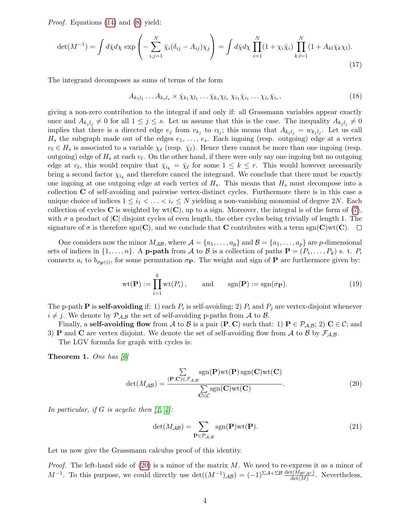Proof. Equations [\(14\)](#page-2-1) and [\(8\)](#page-1-2) yield:

$$
\det(M^{-1}) = \int d\bar{\chi} d\chi \exp\left(-\sum_{i,j=1}^N \bar{\chi}_i (\delta_{ij} - A_{ij}) \chi_j\right) = \int d\bar{\chi} d\chi \prod_{i=1}^N (1 + \chi_i \bar{\chi}_i) \prod_{k,l=1}^N (1 + A_{kl} \bar{\chi}_k \chi_l).
$$
\n(17)

The integrand decomposes as sums of terms of the form

 $A_{k_1l_1}\ldots A_{k_sl_s} \times \bar{\chi}_{k_1}\chi_{l_1}\ldots\bar{\chi}_{k_s}\chi_{l_s}\,\chi_{i_1}\bar{\chi}_{i_1}\ldots\chi_{i_r}\bar{\chi}_{i_r}$  $(18)$ 

giving a non-zero contribution to the integral if and only if: all Grassmann variables appear exactly once and  $A_{k_j l_j} \neq 0$  for all  $1 \leq j \leq s$ . Let us assume that this is the case. The inequality  $A_{k_j l_j} \neq 0$ implies that there is a directed edge  $e_j$  from  $v_{k_j}$  to  $v_{l_j}$ ; this means that  $A_{k_jl_j} = w_{k_jl_j}$ . Let us call  $H_s$  the subgraph made out of the edges  $e_1, \ldots, e_s$ . Each ingoing (resp. outgoing) edge at a vertex  $v_\ell \in H_s$  is associated to a variable  $\chi_\ell$  (resp.  $\bar{\chi}_\ell$ ). Hence there cannot be more than one ingoing (resp. outgoing) edge of  $H_s$  at each  $v_\ell$ . On the other hand, if there were only say one ingoing but no outgoing edge at  $v_{\ell}$ , this would require that  $\bar{\chi}_{i_k} = \bar{\chi}_{\ell}$  for some  $1 \leq k \leq r$ . This would however necessarily bring a second factor  $\chi_{i_k}$  and therefore cancel the integrand. We conclude that there must be exactly one ingoing at one outgoing edge at each vertex of  $H_s$ . This means that  $H_s$  must decompose into a collection C of self-avoiding and pairwise vertex-distinct cycles. Furthermore there is in this case a unique choice of indices  $1 \leq i_1 < \ldots < i_r \leq N$  yielding a non-vanishing monomial of degree 2N. Each collection of cycles **C** is weighted by  $wt(C)$ , up to a sign. Moreover, the integral is of the form of [\(7\)](#page-1-3), with  $\sigma$  a product of  $|C|$  disjoint cycles of even length, the other cycles being trivially of length 1. The signature of  $\sigma$  is therefore sgn(C), and we conclude that C contributes with a term sgn(C)wt(C).  $\Box$ 

One considers now the minor  $M_{\mathcal{AB}}$ , where  $\mathcal{A} = \{a_1, \ldots, a_p\}$  and  $\mathcal{B} = \{a_1, \ldots, a_p\}$  are p-dimensional sets of indices in  $\{1, \ldots, n\}$ . A **p-path** from A to B is a collection of paths  $\mathbf{P} = (P_1, \ldots, P_k)$  s. t.  $P_i$ connects  $a_i$  to  $b_{\sigma_P(i)}$ , for some permutation  $\sigma_P$ . The weight and sign of P are furthermore given by:

$$
\text{wt}(\mathbf{P}) := \prod_{i=1}^{k} \text{wt}(P_i), \quad \text{and} \quad \text{sgn}(\mathbf{P}) := \text{sgn}(\sigma_{\mathbf{P}}). \tag{19}
$$

The p-path **P** is **self-avoiding** if: 1) each  $P_i$  is self-avoiding; 2)  $P_i$  and  $P_j$  are vertex-disjoint whenever  $i \neq j$ . We denote by  $\mathcal{P}_{\mathcal{A},\mathcal{B}}$  the set of self-avoiding p-paths from A to B.

Finally, a self-avoiding flow from A to B is a pair  $(P, C)$  such that: 1)  $P \in \mathcal{P}_{\mathcal{A}, \mathcal{B}}$ ; 2)  $C \in \mathcal{C}$ ; and 3) **P** and **C** are vertex disjoint. We denote the set of self-avoiding flow from A to B by  $\mathcal{F}_{A,B}$ .

The LGV formula for graph with cycles is:

<span id="page-3-1"></span>**Theorem 1.** One has  $|6|$ 

<span id="page-3-0"></span>
$$
\det(M_{AB}) = \frac{\sum_{(\mathbf{P},\mathbf{C}) \in \mathcal{F}_{A,B}} sgn(\mathbf{P})wt(\mathbf{P}) sgn(\mathbf{C})wt(\mathbf{C})}{\sum_{\mathbf{C} \in \mathcal{C}} sgn(\mathbf{C})wt(\mathbf{C})}.
$$
\n(20)

In particular, if G is acyclic then  $\lbrack 1, 4 \rbrack$ :

$$
\det(M_{\mathcal{AB}}) = \sum_{\mathbf{P} \in \mathcal{P}_{\mathcal{A}, \mathcal{B}}} \text{sgn}(\mathbf{P}) \text{wt}(\mathbf{P}).\tag{21}
$$

Let us now give the Grassmann calculus proof of this identity.

*Proof.* The left-hand side of  $(20)$  is a minor of the matrix M. We need to re-express it as a minor of  $M^{-1}$ . To this purpose, we could directly use  $\det((M^{-1})_{AB}) = (-1)^{\Sigma A + \Sigma B} \frac{\det(M_{BCAC})}{\det(M)}$ . Nevertheless,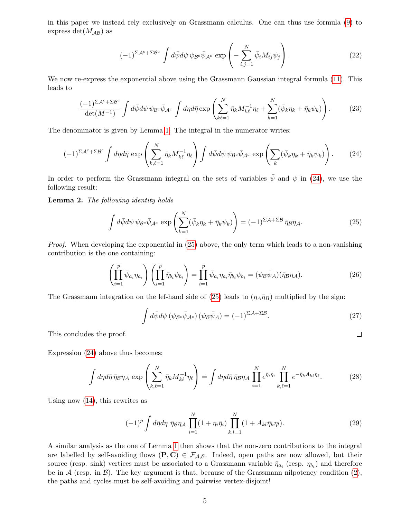in this paper we instead rely exclusively on Grassmann calculus. One can thus use formula [\(9\)](#page-1-4) to express det( $M_{\mathcal{AB}}$ ) as

$$
(-1)^{\Sigma \mathcal{A}^c + \Sigma \mathcal{B}^c} \int d\bar{\psi} d\psi \, \psi_{\mathcal{B}^c} \bar{\psi}_{\mathcal{A}^c} \, \exp\left(-\sum_{i,j=1}^N \bar{\psi}_i M_{ij} \psi_j\right). \tag{22}
$$

We now re-express the exponential above using the Grassmann Gaussian integral formula [\(11\)](#page-2-2). This leads to

$$
\frac{(-1)^{\Sigma \mathcal{A}^c + \Sigma \mathcal{B}^c}}{\det(M^{-1})} \int d\bar{\psi} d\psi \, \psi_{\mathcal{B}^c} \bar{\psi}_{\mathcal{A}^c} \int d\eta d\bar{\eta} \exp\left(\sum_{k\ell=1}^N \bar{\eta}_k M_{k\ell}^{-1} \eta_\ell + \sum_{k=1}^N (\bar{\psi}_k \eta_k + \bar{\eta}_k \psi_k)\right). \tag{23}
$$

The denominator is given by Lemma [1.](#page-2-3) The integral in the numerator writes:

<span id="page-4-0"></span>
$$
(-1)^{\Sigma \mathcal{A}^c + \Sigma \mathcal{B}^c} \int d\eta d\bar{\eta} \exp\left(\sum_{k,\ell=1}^N \bar{\eta}_k M_{k\ell}^{-1} \eta_\ell\right) \int d\bar{\psi} d\psi \, \psi_{\mathcal{B}^c} \bar{\psi}_{\mathcal{A}^c} \exp\left(\sum_k (\bar{\psi}_k \eta_k + \bar{\eta}_k \psi_k)\right). \tag{24}
$$

In order to perform the Grassmann integral on the sets of variables  $\bar{\psi}$  and  $\psi$  in [\(24\)](#page-4-0), we use the following result:

Lemma 2. The following identity holds

<span id="page-4-1"></span>
$$
\int d\bar{\psi} d\psi \,\psi_{\mathcal{B}^c} \bar{\psi}_{\mathcal{A}^c} \, \exp\left(\sum_{k=1}^N (\bar{\psi}_k \eta_k + \bar{\eta}_k \psi_k)\right) = (-1)^{\Sigma \mathcal{A} + \Sigma \mathcal{B}} \,\bar{\eta}_{\mathcal{B}} \eta_{\mathcal{A}}.\tag{25}
$$

Proof. When developing the exponential in  $(25)$  above, the only term which leads to a non-vanishing contribution is the one containing:

$$
\left(\prod_{i=1}^p \bar{\psi}_{a_i}\eta_{a_i}\right)\left(\prod_{i=1}^p \bar{\eta}_{b_i}\psi_{b_i}\right) = \prod_{i=1}^p \bar{\psi}_{a_i}\eta_{a_i}\bar{\eta}_{b_i}\psi_{b_i} = (\psi_{\mathcal{B}}\bar{\psi}_{\mathcal{A}})(\bar{\eta}_{\mathcal{B}}\eta_{\mathcal{A}}).
$$
\n(26)

The Grassmann integration on the lef-hand side of [\(25\)](#page-4-1) leads to  $(\eta_A \bar{\eta}_B)$  multiplied by the sign:

$$
\int d\bar{\psi} d\psi \left( \psi_{\mathcal{B}^c} \bar{\psi}_{\mathcal{A}^c} \right) \left( \psi_{\mathcal{B}} \bar{\psi}_{\mathcal{A}} \right) = (-1)^{\Sigma \mathcal{A} + \Sigma \mathcal{B}}.
$$
\n(27)

 $\Box$ 

This concludes the proof.

Expression [\(24\)](#page-4-0) above thus becomes:

$$
\int d\eta d\bar{\eta} \,\bar{\eta}_{\mathcal{B}} \eta_{\mathcal{A}} \, \exp\left(\sum_{k,\ell=1}^{N} \bar{\eta}_{k} M_{k\ell}^{-1} \eta_{\ell}\right) = \int d\eta d\bar{\eta} \,\bar{\eta}_{\mathcal{B}} \eta_{\mathcal{A}} \prod_{i=1}^{N} e^{\bar{\eta}_{i} \eta_{i}} \prod_{k,\ell=1}^{N} e^{-\bar{\eta}_{k} A_{k\ell} \eta_{\ell}}.
$$
 (28)

Using now [\(14\)](#page-2-1), this rewrites as

<span id="page-4-2"></span>
$$
(-1)^{p} \int d\bar{\eta} d\eta \ \bar{\eta}_{\mathcal{B}} \eta_{\mathcal{A}} \prod_{i=1}^{N} (1 + \eta_{i} \bar{\eta}_{i}) \prod_{k,l=1}^{N} (1 + A_{kl} \bar{\eta}_{k} \eta_{l}). \tag{29}
$$

A similar analysis as the one of Lemma [1](#page-2-3) then shows that the non-zero contributions to the integral are labelled by self-avoiding flows  $(P, C) \in \mathcal{F}_{A,B}$ . Indeed, open paths are now allowed, but their source (resp. sink) vertices must be associated to a Grassmann variable  $\bar{\eta}_{a_i}$  (resp.  $\eta_{b_i}$ ) and therefore be in  $A$  (resp. in  $B$ ). The key argument is that, because of the Grassmann nilpotency condition [\(2\)](#page-0-1), the paths and cycles must be self-avoiding and pairwise vertex-disjoint!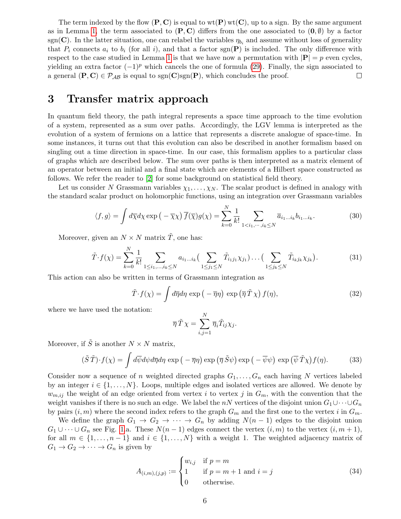The term indexed by the flow  $(P, C)$  is equal to  $wt(P)wt(C)$ , up to a sign. By the same argument as in Lemma [1,](#page-2-3) the term associated to  $(P, C)$  differs from the one associated to  $(0, \emptyset)$  by a factor sgn(C). In the latter situation, one can relabel the variables  $\eta_{b_i}$  and assume without loss of generality that  $P_i$  connects  $a_i$  to  $b_i$  (for all i), and that a factor sgn(P) is included. The only difference with respect to the case studied in Lemma [1](#page-2-3) is that we have now a permutation with  $|\mathbf{P}| = p$  even cycles, yielding an extra factor  $(-1)^p$  which cancels the one of formula [\(29\)](#page-4-2). Finally, the sign associated to a general  $(P, C) \in \mathcal{P}_{AB}$  is equal to  $sgn(C)sgn(P)$ , which concludes the proof.  $\Box$ 

#### 3 Transfer matrix approach

In quantum field theory, the path integral represents a space time approach to the time evolution of a system, represented as a sum over paths. Accordingly, the LGV lemma is interpreted as the evolution of a system of fermions on a lattice that represents a discrete analogue of space-time. In some instances, it turns out that this evolution can also be described in another formalism based on singling out a time direction in space-time. In our case, this formalism applies to a particular class of graphs which are described below. The sum over paths is then interpreted as a matrix element of an operator between an initial and a final state which are elements of a Hilbert space constructed as follows. We refer the reader to [\[2\]](#page-9-4) for some background on statistical field theory.

Let us consider N Grassmann variables  $\chi_1, \ldots, \chi_N$ . The scalar product is defined in analogy with the standard scalar product on holomorphic functions, using an integration over Grassmann variables

$$
\langle f, g \rangle = \int d\overline{\chi} d\chi \exp\left(-\overline{\chi}\chi\right) \overline{f}(\overline{\chi}) g(\chi) = \sum_{k=0}^{N} \frac{1}{k!} \sum_{1 \le i_1, \dots, i_k \le N} \overline{a}_{i_1 \dots i_k} b_{i_1 \dots i_k}.
$$
 (30)

N

Moreover, given an  $N \times N$  matrix  $\tilde{T}$ , one has:

$$
\tilde{T} \cdot f(\chi) = \sum_{k=0}^{N} \frac{1}{k!} \sum_{1 \le i_1, \dots, i_k \le N} a_{i_1 \dots i_k} \Big( \sum_{1 \le j_1 \le N} \tilde{T}_{i_1 j_1} \chi_{j_1} \Big) \dots \Big( \sum_{1 \le j_k \le N} \tilde{T}_{i_k j_k} \chi_{j_k} \Big). \tag{31}
$$

This action can also be written in terms of Grassmann integration as

$$
\tilde{T} \cdot f(\chi) = \int d\overline{\eta} d\eta \exp\left(-\overline{\eta}\eta\right) \exp\left(\overline{\eta}\,\tilde{T}\,\chi\right) f(\eta),\tag{32}
$$

where we have used the notation:

$$
\overline{\eta}\,\tilde{T}\,\chi=\sum_{i,j=1}^N\overline{\eta}_i\tilde{T}_{ij}\chi_j.
$$

Moreover, if  $\tilde{S}$  is another  $N \times N$  matrix,

<span id="page-5-0"></span>
$$
(\tilde{S}\tilde{T}) \cdot f(\chi) = \int d\overline{\psi} d\psi d\overline{\eta} d\eta \exp\left(-\overline{\eta}\eta\right) \exp\left(\overline{\eta}\tilde{S}\psi\right) \exp\left(-\overline{\psi}\psi\right) \exp\left(\overline{\psi}\tilde{T}\chi\right) f(\eta). \tag{33}
$$

Consider now a sequence of n weighted directed graphs  $G_1, \ldots, G_n$  each having N vertices labeled by an integer  $i \in \{1, \ldots, N\}$ . Loops, multiple edges and isolated vertices are allowed. We denote by  $w_{m,ij}$  the weight of an edge oriented from vertex i to vertex j in  $G_m$ , with the convention that the weight vanishes if there is no such an edge. We label the nN vertices of the disjoint union  $G_1 \cup \cdots \cup G_n$ by pairs  $(i, m)$  where the second index refers to the graph  $G_m$  and the first one to the vertex i in  $G_m$ .

We define the graph  $G_1 \rightarrow G_2 \rightarrow \cdots \rightarrow G_n$  by adding  $N(n-1)$  edges to the disjoint union  $G_1 \cup \cdots \cup G_n$  see Fig. [1.](#page-6-0)a. These  $N(n-1)$  edges connect the vertex  $(i, m)$  to the vertex  $(i, m+1)$ , for all  $m \in \{1, \ldots, n-1\}$  and  $i \in \{1, \ldots, N\}$  with a weight 1. The weighted adjacency matrix of  $G_1 \rightarrow G_2 \rightarrow \cdots \rightarrow G_n$  is given by

$$
A_{(i,m),(j,p)} := \begin{cases} w_{i,j} & \text{if } p=m\\ 1 & \text{if } p=m+1 \text{ and } i=j\\ 0 & \text{otherwise.} \end{cases}
$$
(34)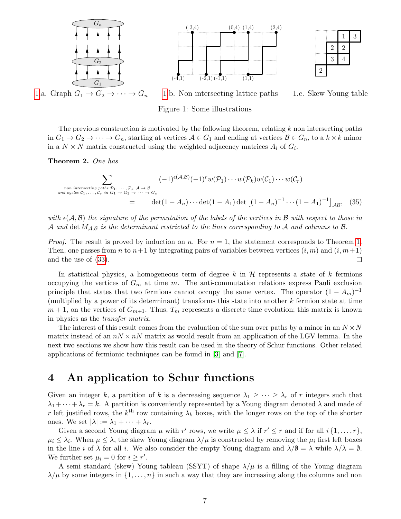





[1.](#page-6-0)a. Graph  $G_1 \rightarrow G_2 \rightarrow \cdots \rightarrow G_n$  1.b. Non intersecting lattice paths 1.c. Skew Young table

<span id="page-6-1"></span>

<span id="page-6-0"></span>Figure 1: Some illustrations

The previous construction is motivated by the following theorem, relating  $k$  non intersecting paths in  $G_1 \to G_2 \to \cdots \to G_n$ , starting at vertices  $A \in G_1$  and ending at vertices  $\mathcal{B} \in G_n$ , to a  $k \times k$  minor in a  $N \times N$  matrix constructed using the weighted adjacency matrices  $A_i$  of  $G_i$ .

Theorem 2. One has

$$
\sum_{\substack{\text{non intersecting paths } P_1, \dots, P_k, A \to B \\ \text{and cycles } C_1, \dots, C_r \text{ in } G_1 \to G_2 \to \dots \to G_n}} (-1)^{\epsilon(\mathcal{A}, \mathcal{B})} (-1)^r w(\mathcal{P}_1) \cdots w(\mathcal{P}_k) w(\mathcal{C}_1) \cdots w(\mathcal{C}_r)
$$
\n
$$
= \det(1 - A_n) \cdots \det(1 - A_1) \det\left[ (1 - A_n)^{-1} \cdots (1 - A_1)^{-1} \right]_{\mathcal{AB}}, \quad (35)
$$

with  $\epsilon(A, \mathcal{B})$  the signature of the permutation of the labels of the vertices in  $\mathcal{B}$  with respect to those in A and det  $M_{A,B}$  is the determinant restricted to the lines corresponding to A and columns to B.

*Proof.* The result is proved by induction on n. For  $n = 1$ , the statement corresponds to Theorem [1.](#page-3-1) Then, one passes from n to  $n+1$  by integrating pairs of variables between vertices  $(i, m)$  and  $(i, m+1)$ and the use of [\(33\)](#page-5-0).  $\Box$ 

In statistical physics, a homogeneous term of degree k in  $\mathcal H$  represents a state of k fermions occupying the vertices of  $G_m$  at time m. The anti-commutation relations express Pauli exclusion principle that states that two fermions cannot occupy the same vertex. The operator  $(1 - A_m)^{-1}$ (multiplied by a power of its determinant) transforms this state into another  $k$  fermion state at time  $m + 1$ , on the vertices of  $G_{m+1}$ . Thus,  $T_m$  represents a discrete time evolution; this matrix is known in physics as the transfer matrix.

The interest of this result comes from the evaluation of the sum over paths by a minor in an  $N \times N$ matrix instead of an  $nN \times nN$  matrix as would result from an application of the LGV lemma. In the next two sections we show how this result can be used in the theory of Schur functions. Other related applications of fermionic techniques can be found in [\[3\]](#page-9-5) and [\[7\]](#page-9-6).

# 4 An application to Schur functions

Given an integer k, a partition of k is a decreasing sequence  $\lambda_1 \geq \cdots \geq \lambda_r$  of r integers such that  $\lambda_1 + \cdots + \lambda_r = k$ . A partition is conveniently represented by a Young diagram denoted  $\lambda$  and made of r left justified rows, the  $k^{\text{th}}$  row containing  $\lambda_k$  boxes, with the longer rows on the top of the shorter ones. We set  $|\lambda| := \lambda_1 + \cdots + \lambda_r$ .

Given a second Young diagram  $\mu$  with r' rows, we write  $\mu \leq \lambda$  if  $r' \leq r$  and if for all  $i \{1, \ldots, r\}$ ,  $\mu_i \leq \lambda_i$ . When  $\mu \leq \lambda$ , the skew Young diagram  $\lambda/\mu$  is constructed by removing the  $\mu_i$  first left boxes in the line i of  $\lambda$  for all i. We also consider the empty Young diagram and  $\lambda/\emptyset = \lambda$  while  $\lambda/\lambda = \emptyset$ . We further set  $\mu_i = 0$  for  $i \geq r'$ .

A semi standard (skew) Young tableau (SSYT) of shape  $\lambda/\mu$  is a filling of the Young diagram  $\lambda/\mu$  by some integers in  $\{1,\ldots,n\}$  in such a way that they are increasing along the columns and non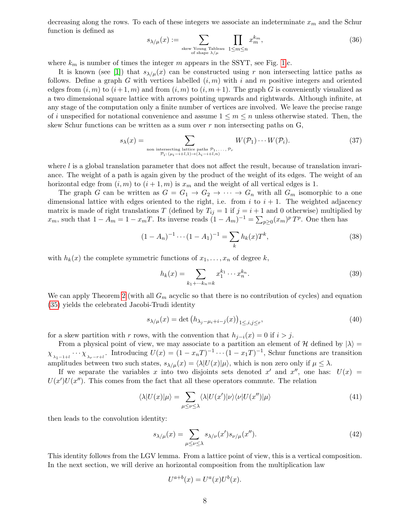decreasing along the rows. To each of these integers we associate an indeterminate  $x_m$  and the Schur function is defined as

$$
s_{\lambda/\mu}(x) := \sum_{\substack{\text{skew Young Tableau} \\ \text{of shape } \lambda/\mu}} \prod_{1 \le m \le n} x_m^{k_m},\tag{36}
$$

where  $k_m$  is number of times the integer m appears in the SSYT, see Fig. [1.](#page-6-0)c.

It is known (see [\[1\]](#page-9-2)) that  $s_{\lambda/\mu}(x)$  can be constructed using r non intersecting lattice paths as follows. Define a graph G with vertices labelled  $(i, m)$  with i and m positive integers and oriented edges from  $(i, m)$  to  $(i + 1, m)$  and from  $(i, m)$  to  $(i, m + 1)$ . The graph G is conveniently visualized as a two dimensional square lattice with arrows pointing upwards and rightwards. Although infinite, at any stage of the computation only a finite number of vertices are involved. We leave the precise range of i unspecified for notational convenience and assume  $1 \leq m \leq n$  unless otherwise stated. Then, the skew Schur functions can be written as a sum over  $r$  non intersecting paths on  $G$ ,

$$
s_{\lambda}(x) = \sum_{\substack{\text{non intersecting lattice paths } \mathcal{P}_1, \dots, \mathcal{P}_r \\ \mathcal{P}_i : (\mu_i - i + l, 1) \to (\lambda_i - i + l, n)}} W(\mathcal{P}_1) \cdots W(\mathcal{P}_i). \tag{37}
$$

where  $l$  is a global translation parameter that does not affect the result, because of translation invariance. The weight of a path is again given by the product of the weight of its edges. The weight of an horizontal edge from  $(i, m)$  to  $(i + 1, m)$  is  $x_m$  and the weight of all vertical edges is 1.

The graph G can be written as  $G = G_1 \rightarrow G_2 \rightarrow \cdots \rightarrow G_n$  with all  $G_m$  isomorphic to a one dimensional lattice with edges oriented to the right, i.e. from i to  $i + 1$ . The weighted adjacency matrix is made of right translations T (defined by  $T_{ij} = 1$  if  $j = i + 1$  and 0 otherwise) multiplied by  $x_m$ , such that  $1 - A_m = 1 - x_mT$ . Its inverse reads  $(1 - A_m)^{-1} = \sum_{p \geq 0} (x_m)^p T^p$ . One then has

<span id="page-7-0"></span>
$$
(1 - A_n)^{-1} \cdots (1 - A_1)^{-1} = \sum_k h_k(x) T^k,
$$
\n(38)

with  $h_k(x)$  the complete symmetric functions of  $x_1, \ldots, x_n$  of degree k,

$$
h_k(x) = \sum_{k_1 + \dots + k_n = k} x_1^{k_1} \dots x_n^{k_n}.
$$
\n(39)

We can apply Theorem [2](#page-6-1) (with all  $G_m$  acyclic so that there is no contribution of cycles) and equation [\(35\)](#page-6-1) yields the celebrated Jacobi-Trudi identity

<span id="page-7-1"></span>
$$
s_{\lambda/\mu}(x) = \det \left( h_{\lambda_j - \mu_i + i - j}(x) \right)_{1 \le i, j \le r},\tag{40}
$$

for a skew partition with r rows, with the convention that  $h_{i-i}(x) = 0$  if  $i > j$ .

From a physical point of view, we may associate to a partition an element of H defined by  $|\lambda\rangle$  =  $\chi_{\lambda_1-1+l} \cdots \chi_{\lambda_r-r+l}$ . Introducing  $U(x) = (1-x_nT)^{-1} \cdots (1-x_1T)^{-1}$ , Schur functions are transition amplitudes between two such states,  $s_{\lambda/\mu}(x) = \langle \lambda | U(x) | \mu \rangle$ , which is non zero only if  $\mu \leq \lambda$ .

If we separate the variables x into two disjoints sets denoted x' and x'', one has:  $U(x)$  =  $U(x')U(x'')$ . This comes from the fact that all these operators commute. The relation

$$
\langle \lambda | U(x) | \mu \rangle = \sum_{\mu \le \nu \le \lambda} \langle \lambda | U(x') | \nu \rangle \langle \nu | U(x'') | \mu \rangle \tag{41}
$$

then leads to the convolution identity:

$$
s_{\lambda/\mu}(x) = \sum_{\mu \le \nu \le \lambda} s_{\lambda/\nu}(x') s_{\nu/\mu}(x''). \tag{42}
$$

This identity follows from the LGV lemma. From a lattice point of view, this is a vertical composition. In the next section, we will derive an horizontal composition from the multiplication law

$$
U^{a+b}(x) = U^a(x)U^b(x).
$$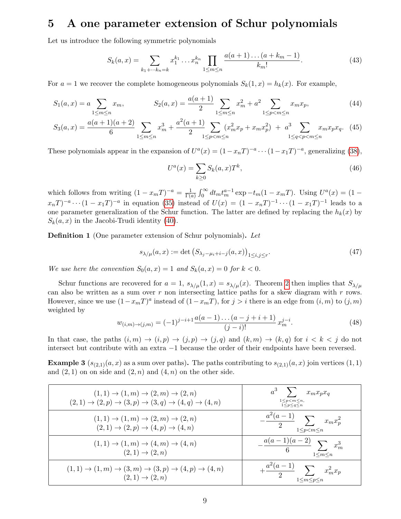### 5 A one parameter extension of Schur polynomials

Let us introduce the following symmetric polynomials

$$
S_k(a,x) = \sum_{k_1 + \dots + k_n = k} x_1^{k_1} \dots x_n^{k_n} \prod_{1 \le m \le n} \frac{a(a+1)\dots(a+k_m-1)}{k_m!}.
$$
 (43)

For  $a = 1$  we recover the complete homogeneous polynomials  $S_k(1, x) = h_k(x)$ . For example,

$$
S_1(a,x) = a \sum_{1 \le m \le n} x_m, \qquad S_2(a,x) = \frac{a(a+1)}{2} \sum_{1 \le m \le n} x_m^2 + a^2 \sum_{1 \le p < m \le n} x_m x_p, \tag{44}
$$

$$
S_3(a,x) = \frac{a(a+1)(a+2)}{6} \sum_{1 \le m \le n} x_m^3 + \frac{a^2(a+1)}{2} \sum_{1 \le p < m \le n} (x_m^2 x_p + x_m x_p^2) + a^3 \sum_{1 \le q < p < m \le n} x_m x_p x_q. \tag{45}
$$

These polynomials appear in the expansion of  $U^a(x) = (1 - x_nT)^{-a} \cdots (1 - x_1T)^{-a}$ , generalizing [\(38\)](#page-7-0),

$$
U^{a}(x) = \sum_{k \ge 0} S_k(a, x) T^k,
$$
\n
$$
(46)
$$

which follows from writing  $(1 - x_mT)^{-a} = \frac{1}{\Gamma(a)}$  $\frac{1}{\Gamma(a)} \int_0^\infty dt_m t_m^{a-1} \exp(-t_m(1 - x_m T))$ . Using  $U^a(x) = (1 (x_n, T)^{-a} \cdots (1 - x_1, T)^{-a}$  in equation [\(35\)](#page-6-1) instead of  $U(x) = (1 - x_n, T)^{-1} \cdots (1 - x_1, T)^{-1}$  leads to a one parameter generalization of the Schur function. The latter are defined by replacing the  $h_k(x)$  by  $S_k(a, x)$  in the Jacobi-Trudi identity [\(40\)](#page-7-1).

Definition 1 (One parameter extension of Schur polynomials). Let

<span id="page-8-0"></span>
$$
s_{\lambda/\mu}(a,x) := \det \left( S_{\lambda_j - \mu_i + i - j}(a,x) \right)_{1 \le i,j \le r}.\tag{47}
$$

We use here the convention  $S_0(a, x) = 1$  and  $S_k(a, x) = 0$  for  $k < 0$ .

Schur functions are recovered for  $a = 1$ ,  $s_{\lambda/\mu}(1, x) = s_{\lambda/\mu}(x)$ . Theorem [2](#page-6-1) then implies that  $S_{\lambda/\mu}$ can also be written as a sum over  $r$  non intersecting lattice paths for a skew diagram with  $r$  rows. However, since we use  $(1-x_mT)^a$  instead of  $(1-x_mT)$ , for  $j>i$  there is an edge from  $(i, m)$  to  $(j, m)$ weighted by

$$
w_{(i,m)\to(j,m)} = (-1)^{j-i+1} \frac{a(a-1)\dots(a-j+i+1)}{(j-i)!} x_m^{j-i}.
$$
\n(48)

In that case, the paths  $(i, m) \rightarrow (i, p) \rightarrow (j, p) \rightarrow (j, q)$  and  $(k, m) \rightarrow (k, q)$  for  $i < k < j$  do not intersect but contribute with an extra −1 because the order of their endpoints have been reversed.

**Example 3** ( $s_{(2,1)}(a, x)$  as a sum over paths). The paths contributing to  $s_{(2,1)}(a, x)$  join vertices (1, 1) and  $(2, 1)$  on on side and  $(2, n)$  and  $(4, n)$  on the other side.

| $(1,1) \rightarrow (1,m) \rightarrow (2,m) \rightarrow (2,n)$<br>$(2,1) \rightarrow (2,p) \rightarrow (3,p) \rightarrow (3,q) \rightarrow (4,q) \rightarrow (4,n)$ | $a^3$ $\sum x_m x_p x_q$<br>$1 \leq p \leq m \leq n$ ,<br>$1 \leq p \leq q \leq n$ |
|--------------------------------------------------------------------------------------------------------------------------------------------------------------------|------------------------------------------------------------------------------------|
| $(1,1) \rightarrow (1,m) \rightarrow (2,m) \rightarrow (2,n)$<br>$(2,1) \rightarrow (2,p) \rightarrow (4,p) \rightarrow (4,n)$                                     | $-\frac{a^2(a-1)}{2}\sum_{1\leq p$                                                 |
| $(1,1) \rightarrow (1,m) \rightarrow (4,m) \rightarrow (4,n)$<br>$(2,1) \to (2,n)$                                                                                 | $-\frac{\overline{a(a-1)}(a-2)}{6}\sum_{1\leq m\leq n}x_m^3$                       |
| $(1,1) \rightarrow (1,m) \rightarrow (3,m) \rightarrow (3,p) \rightarrow (4,p) \rightarrow (4,n)$<br>$(2,1) \to (2,n)$                                             | $+\frac{a^2(a-1)}{2}\sum_{1\leq m\leq p\leq n}x_m^2x_p$                            |